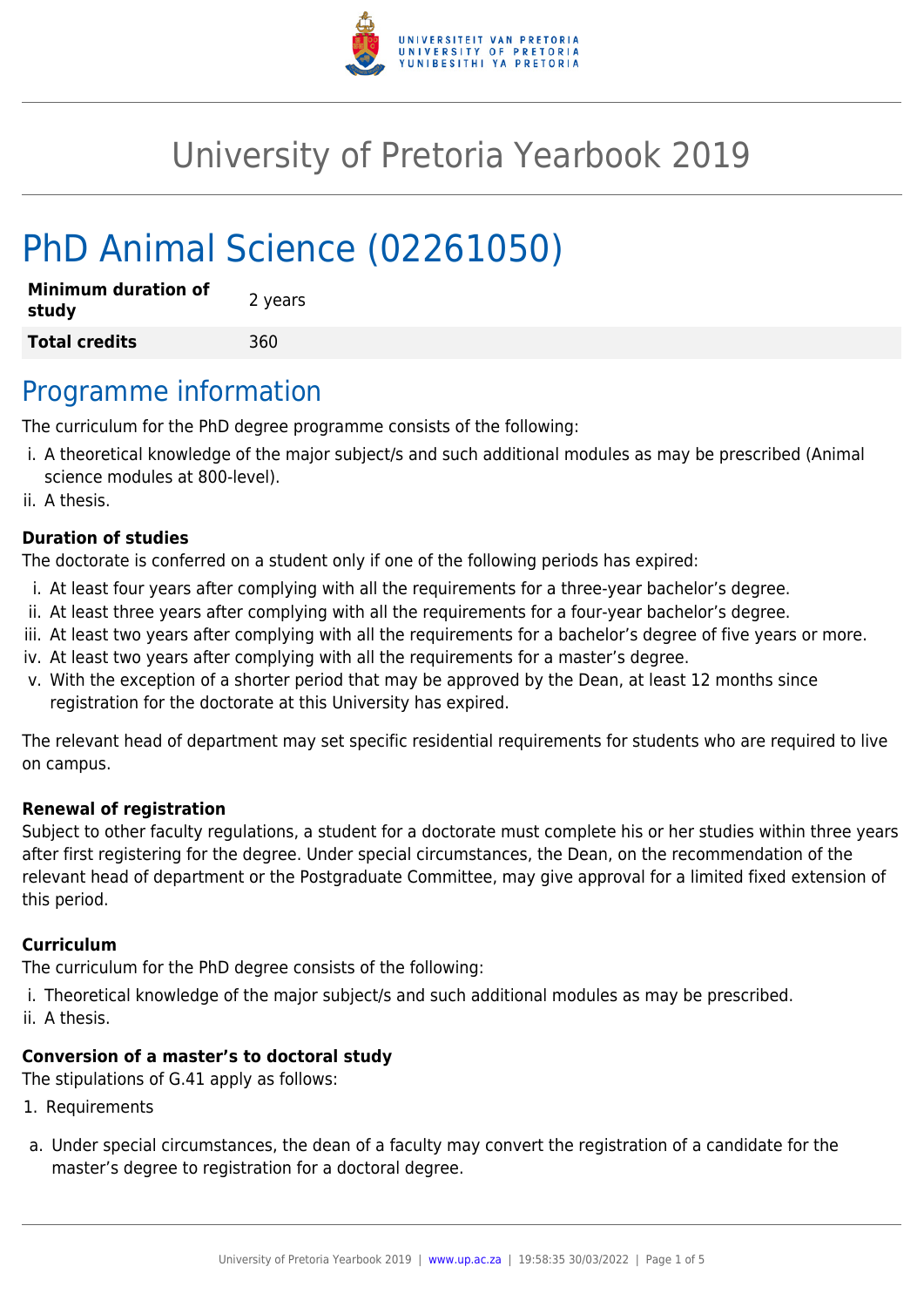

# University of Pretoria Yearbook 2019

# PhD Animal Science (02261050)

| <b>Minimum duration of</b><br>study | 2 years |
|-------------------------------------|---------|
| <b>Total credits</b>                | 360     |

### Programme information

The curriculum for the PhD degree programme consists of the following:

- i. A theoretical knowledge of the major subject/s and such additional modules as may be prescribed (Animal science modules at 800-level).
- ii. A thesis.

#### **Duration of studies**

The doctorate is conferred on a student only if one of the following periods has expired:

- i. At least four years after complying with all the requirements for a three-year bachelor's degree.
- ii. At least three years after complying with all the requirements for a four-year bachelor's degree.
- iii. At least two years after complying with all the requirements for a bachelor's degree of five years or more.
- iv. At least two years after complying with all the requirements for a master's degree.
- v. With the exception of a shorter period that may be approved by the Dean, at least 12 months since registration for the doctorate at this University has expired.

The relevant head of department may set specific residential requirements for students who are required to live on campus.

#### **Renewal of registration**

Subject to other faculty regulations, a student for a doctorate must complete his or her studies within three years after first registering for the degree. Under special circumstances, the Dean, on the recommendation of the relevant head of department or the Postgraduate Committee, may give approval for a limited fixed extension of this period.

#### **Curriculum**

The curriculum for the PhD degree consists of the following:

- i. Theoretical knowledge of the major subject/s and such additional modules as may be prescribed.
- ii. A thesis.

#### **Conversion of a master's to doctoral study**

The stipulations of G.41 apply as follows:

- 1. Requirements
- a. Under special circumstances, the dean of a faculty may convert the registration of a candidate for the master's degree to registration for a doctoral degree.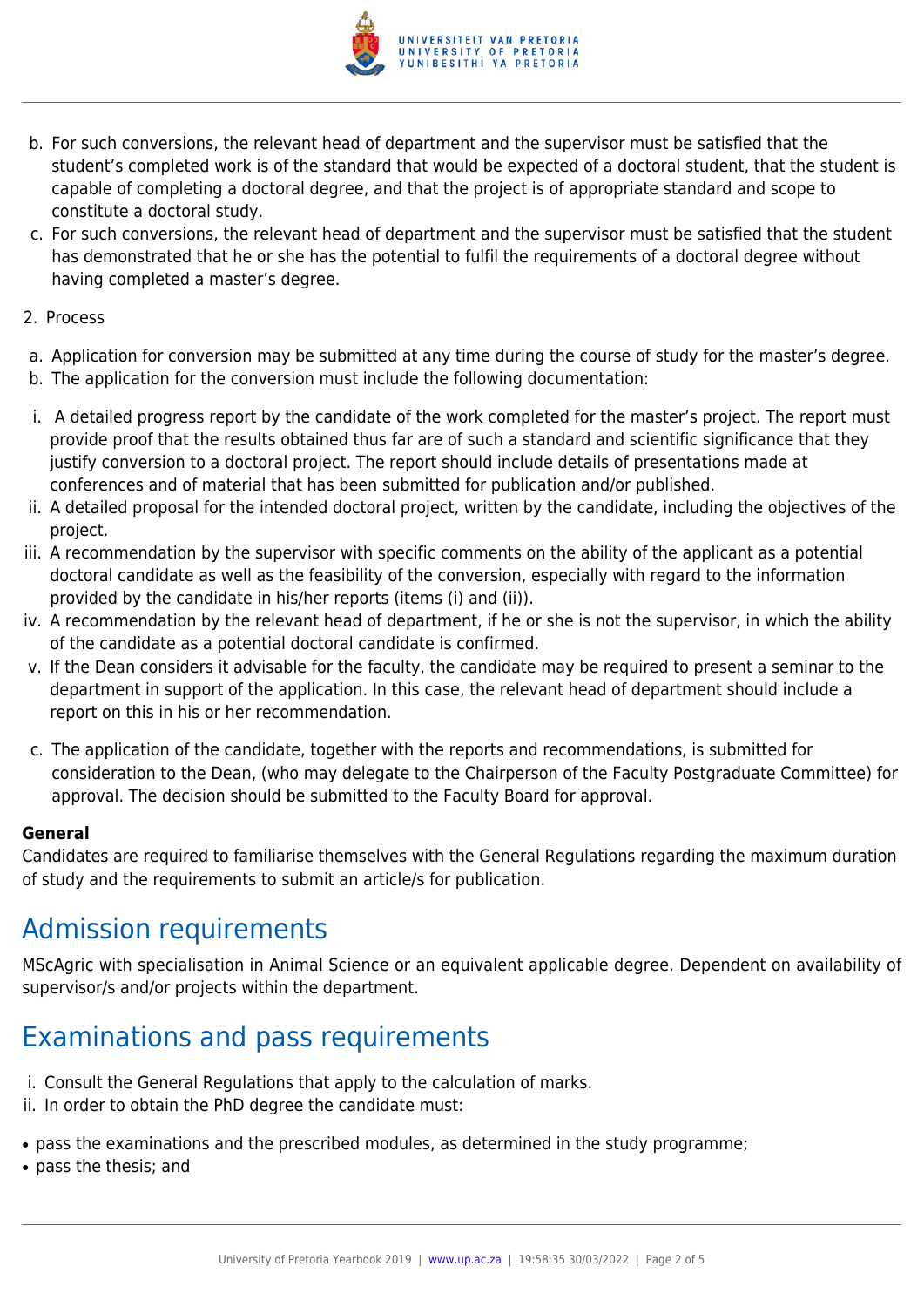

- b. For such conversions, the relevant head of department and the supervisor must be satisfied that the student's completed work is of the standard that would be expected of a doctoral student, that the student is capable of completing a doctoral degree, and that the project is of appropriate standard and scope to constitute a doctoral study.
- c. For such conversions, the relevant head of department and the supervisor must be satisfied that the student has demonstrated that he or she has the potential to fulfil the requirements of a doctoral degree without having completed a master's degree.
- 2. Process
- a. Application for conversion may be submitted at any time during the course of study for the master's degree.
- b. The application for the conversion must include the following documentation:
- i. A detailed progress report by the candidate of the work completed for the master's project. The report must provide proof that the results obtained thus far are of such a standard and scientific significance that they justify conversion to a doctoral project. The report should include details of presentations made at conferences and of material that has been submitted for publication and/or published.
- ii. A detailed proposal for the intended doctoral project, written by the candidate, including the objectives of the project.
- iii. A recommendation by the supervisor with specific comments on the ability of the applicant as a potential doctoral candidate as well as the feasibility of the conversion, especially with regard to the information provided by the candidate in his/her reports (items (i) and (ii)).
- iv. A recommendation by the relevant head of department, if he or she is not the supervisor, in which the ability of the candidate as a potential doctoral candidate is confirmed.
- v. If the Dean considers it advisable for the faculty, the candidate may be required to present a seminar to the department in support of the application. In this case, the relevant head of department should include a report on this in his or her recommendation.
- c. The application of the candidate, together with the reports and recommendations, is submitted for consideration to the Dean, (who may delegate to the Chairperson of the Faculty Postgraduate Committee) for approval. The decision should be submitted to the Faculty Board for approval.

#### **General**

Candidates are required to familiarise themselves with the General Regulations regarding the maximum duration of study and the requirements to submit an article/s for publication.

# Admission requirements

MScAgric with specialisation in Animal Science or an equivalent applicable degree. Dependent on availability of supervisor/s and/or projects within the department.

# Examinations and pass requirements

- i. Consult the General Regulations that apply to the calculation of marks.
- ii. In order to obtain the PhD degree the candidate must:
- pass the examinations and the prescribed modules, as determined in the study programme;
- pass the thesis; and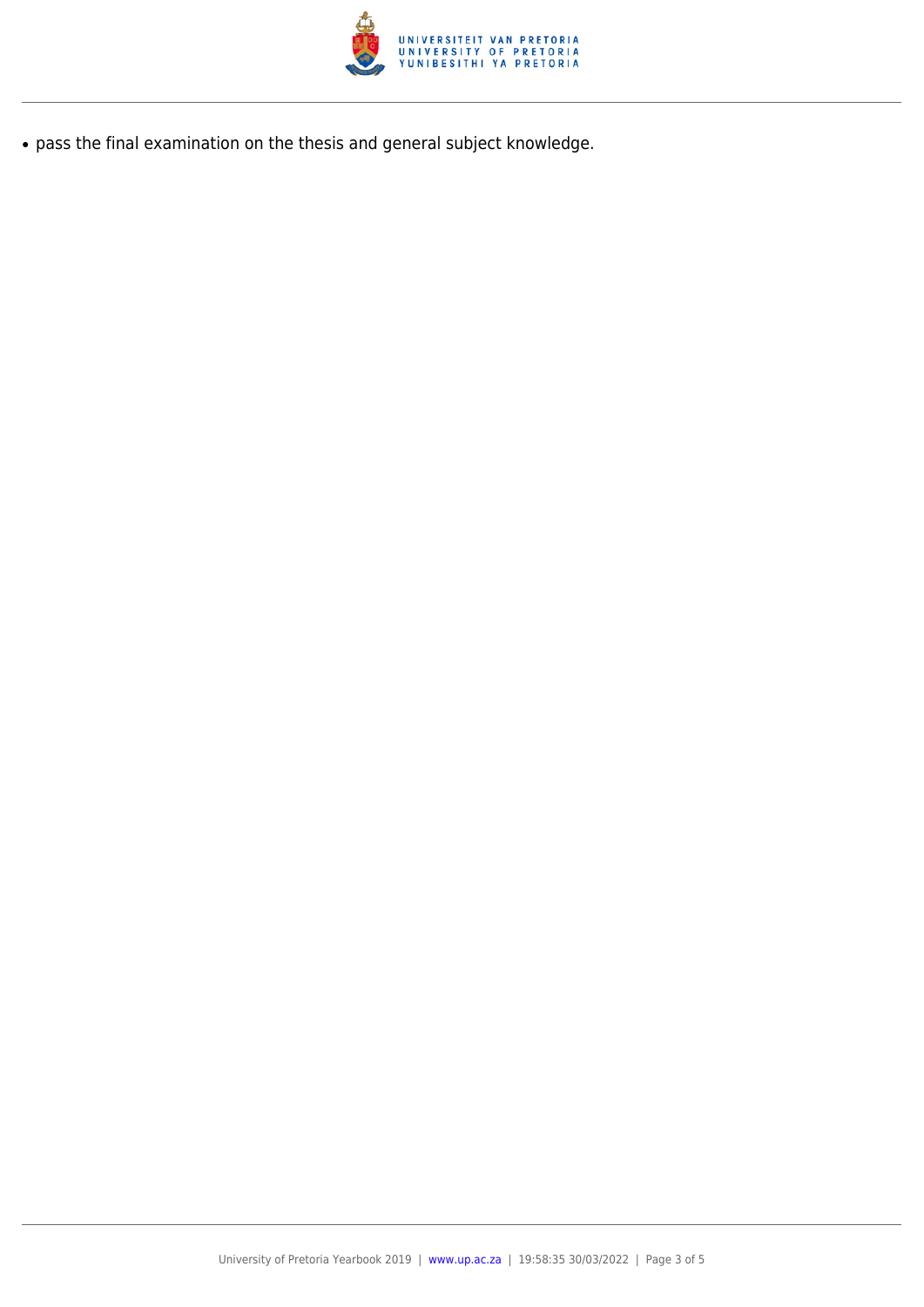

● pass the final examination on the thesis and general subject knowledge.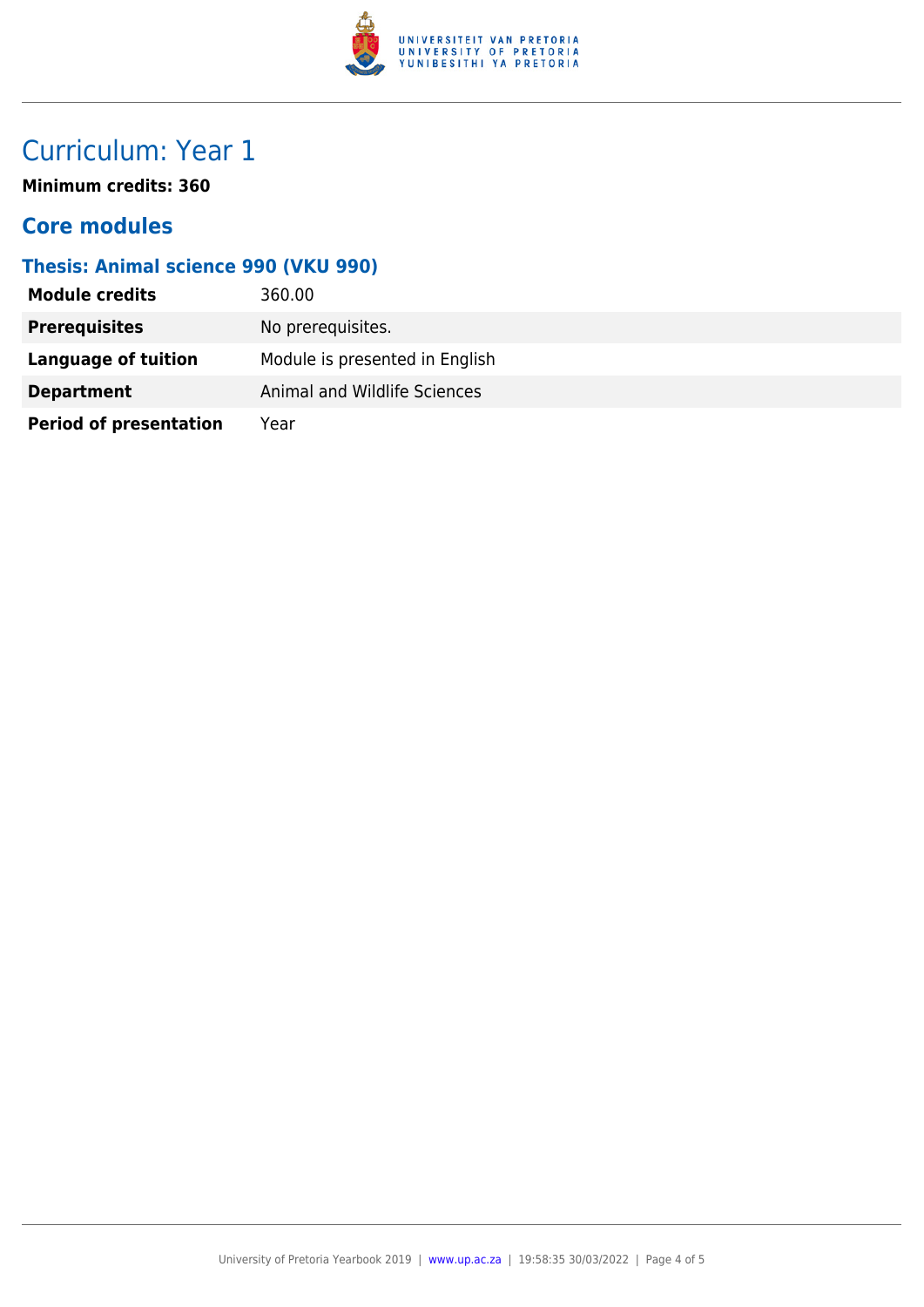

# Curriculum: Year 1

**Minimum credits: 360**

### **Core modules**

### **Thesis: Animal science 990 (VKU 990)**

| <b>Module credits</b>         | 360.00                         |
|-------------------------------|--------------------------------|
| <b>Prerequisites</b>          | No prerequisites.              |
| <b>Language of tuition</b>    | Module is presented in English |
| <b>Department</b>             | Animal and Wildlife Sciences   |
| <b>Period of presentation</b> | Year                           |